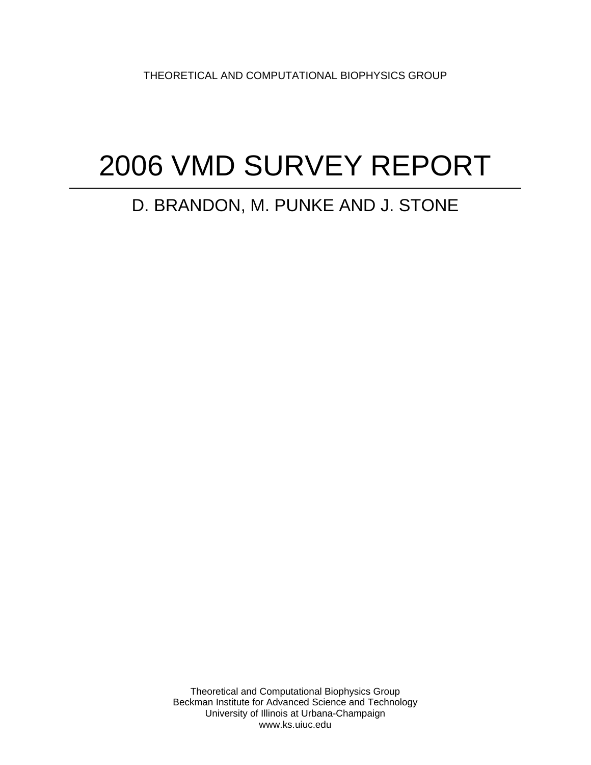THEORETICAL AND COMPUTATIONAL BIOPHYSICS GROUP

# 2006 VMD SURVEY REPORT

### D. BRANDON, M. PUNKE AND J. STONE

Theoretical and Computational Biophysics Group Beckman Institute for Advanced Science and Technology University of Illinois at Urbana-Champaign www.ks.uiuc.edu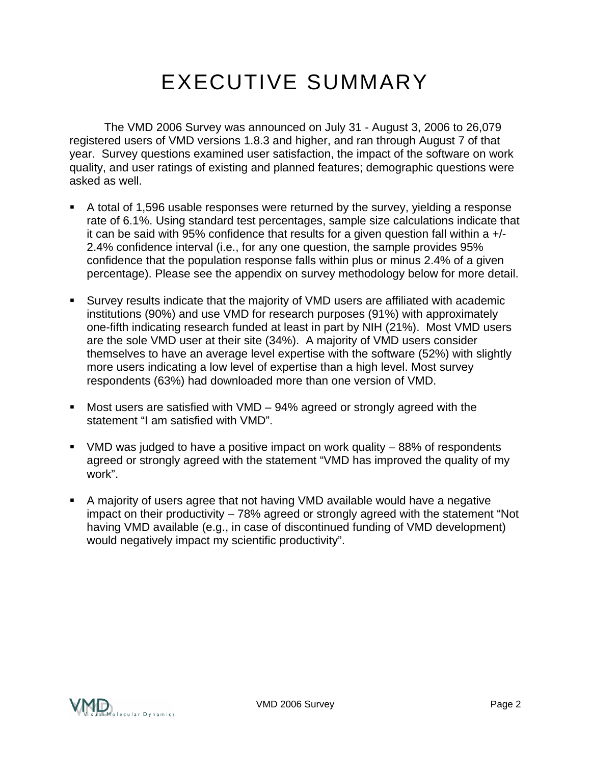## EXECUTIVE SUMMARY

 The VMD 2006 Survey was announced on July 31 - August 3, 2006 to 26,079 registered users of VMD versions 1.8.3 and higher, and ran through August 7 of that year. Survey questions examined user satisfaction, the impact of the software on work quality, and user ratings of existing and planned features; demographic questions were asked as well.

- A total of 1,596 usable responses were returned by the survey, yielding a response rate of 6.1%. Using standard test percentages, sample size calculations indicate that it can be said with 95% confidence that results for a given question fall within a +/- 2.4% confidence interval (i.e., for any one question, the sample provides 95% confidence that the population response falls within plus or minus 2.4% of a given percentage). Please see the appendix on survey methodology below for more detail.
- Survey results indicate that the majority of VMD users are affiliated with academic institutions (90%) and use VMD for research purposes (91%) with approximately one-fifth indicating research funded at least in part by NIH (21%). Most VMD users are the sole VMD user at their site (34%). A majority of VMD users consider themselves to have an average level expertise with the software (52%) with slightly more users indicating a low level of expertise than a high level. Most survey respondents (63%) had downloaded more than one version of VMD.
- Most users are satisfied with VMD 94% agreed or strongly agreed with the statement "I am satisfied with VMD".
- VMD was judged to have a positive impact on work quality 88% of respondents agreed or strongly agreed with the statement "VMD has improved the quality of my work".
- A majority of users agree that not having VMD available would have a negative impact on their productivity – 78% agreed or strongly agreed with the statement "Not having VMD available (e.g., in case of discontinued funding of VMD development) would negatively impact my scientific productivity".

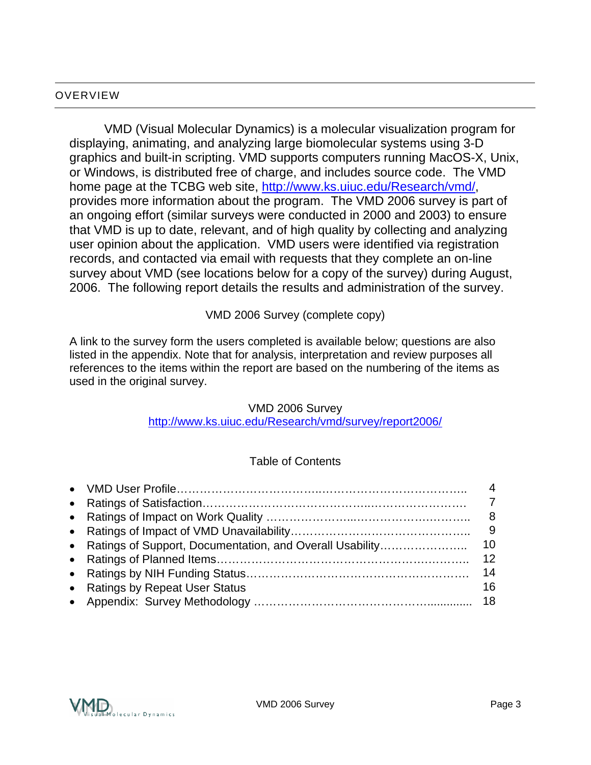#### **OVERVIEW**

VMD (Visual Molecular Dynamics) is a molecular visualization program for displaying, animating, and analyzing large biomolecular systems using 3-D graphics and built-in scripting. VMD supports computers running MacOS-X, Unix, or Windows, is distributed free of charge, and includes source code. The VMD home page at the TCBG web site, [http://www.ks.uiuc.edu/Research/vmd/,](http://www.ks.uiuc.edu/Research/vmd/) provides more information about the program. The VMD 2006 survey is part of an ongoing effort (similar surveys were conducted in 2000 and 2003) to ensure that VMD is up to date, relevant, and of high quality by collecting and analyzing user opinion about the application. VMD users were identified via registration records, and contacted via email with requests that they complete an on-line survey about VMD (see locations below for a copy of the survey) during August, 2006. The following report details the results and administration of the survey.

VMD 2006 Survey (complete copy)

A link to the survey form the users completed is available below; questions are also listed in the appendix. Note that for analysis, interpretation and review purposes all references to the items within the report are based on the numbering of the items as used in the original survey.

#### VMD 2006 Survey

<http://www.ks.uiuc.edu/Research/vmd/survey/report2006/>

#### Table of Contents

|                                 | 4               |
|---------------------------------|-----------------|
|                                 |                 |
|                                 | 8 <sup>8</sup>  |
|                                 |                 |
|                                 |                 |
|                                 | 12 <sup>2</sup> |
|                                 | 14              |
| • Ratings by Repeat User Status | 16              |
|                                 |                 |

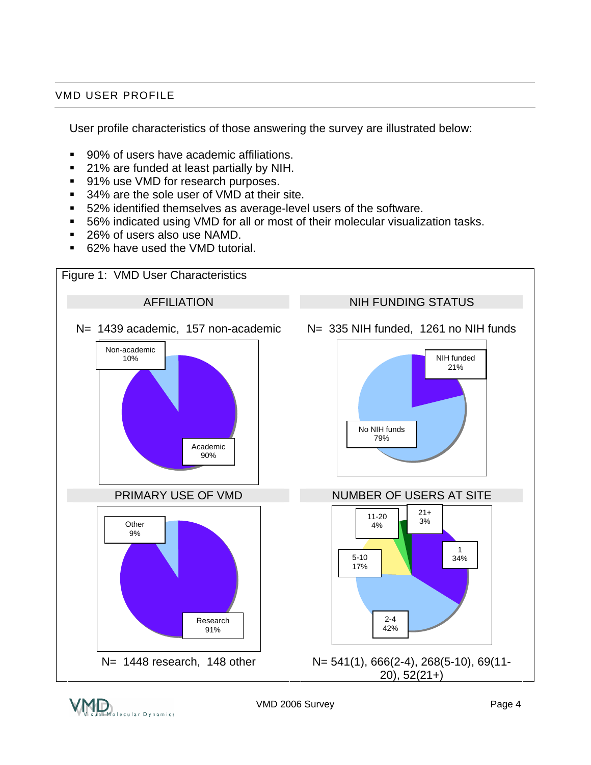#### VMD USER PROFILE

User profile characteristics of those answering the survey are illustrated below:

- 90% of users have academic affiliations.
- 21% are funded at least partially by NIH.
- 91% use VMD for research purposes.
- 34% are the sole user of VMD at their site.
- 52% identified themselves as average-level users of the software.
- 56% indicated using VMD for all or most of their molecular visualization tasks.
- 26% of users also use NAMD.
- 62% have used the VMD tutorial.

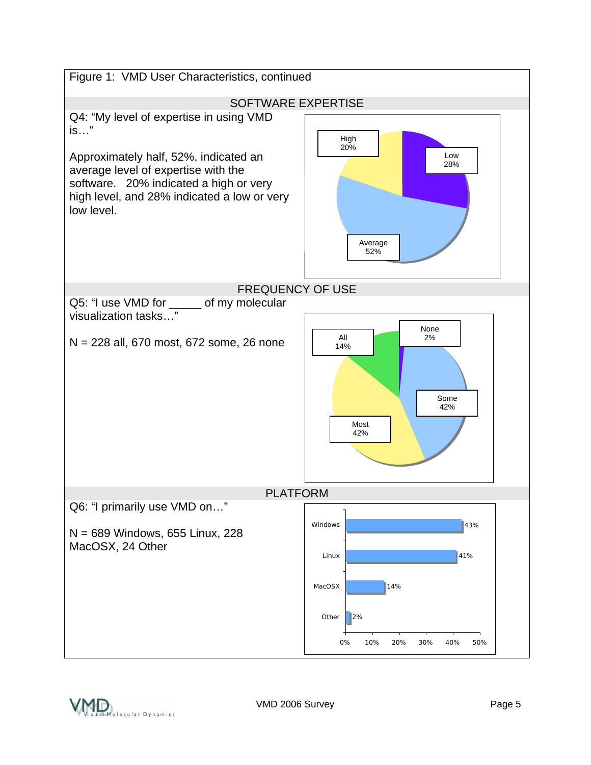

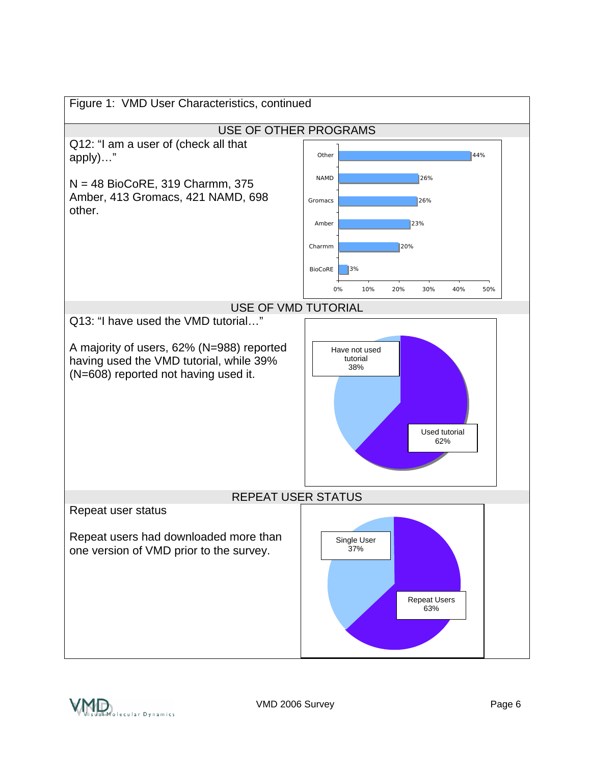

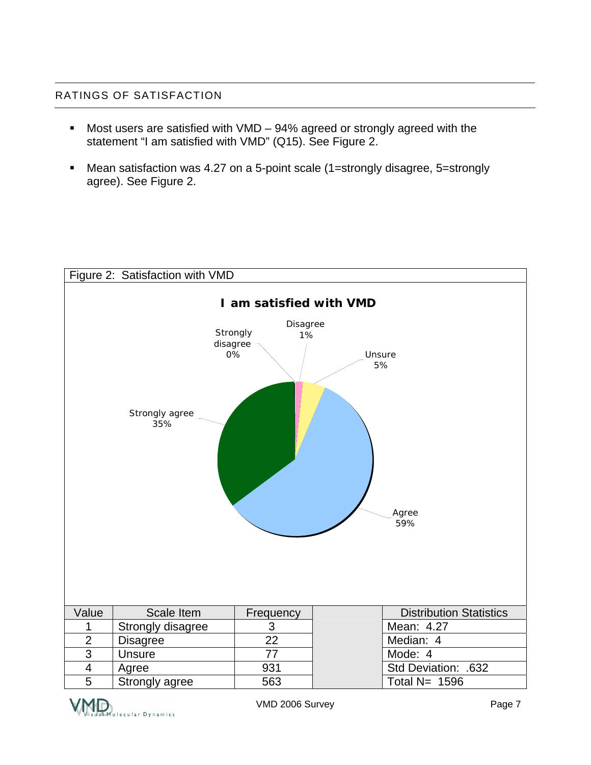#### RATINGS OF SATISFACTION

- Most users are satisfied with VMD 94% agreed or strongly agreed with the statement "I am satisfied with VMD" (Q15). See Figure 2.
- Mean satisfaction was 4.27 on a 5-point scale (1=strongly disagree, 5=strongly agree). See Figure 2.



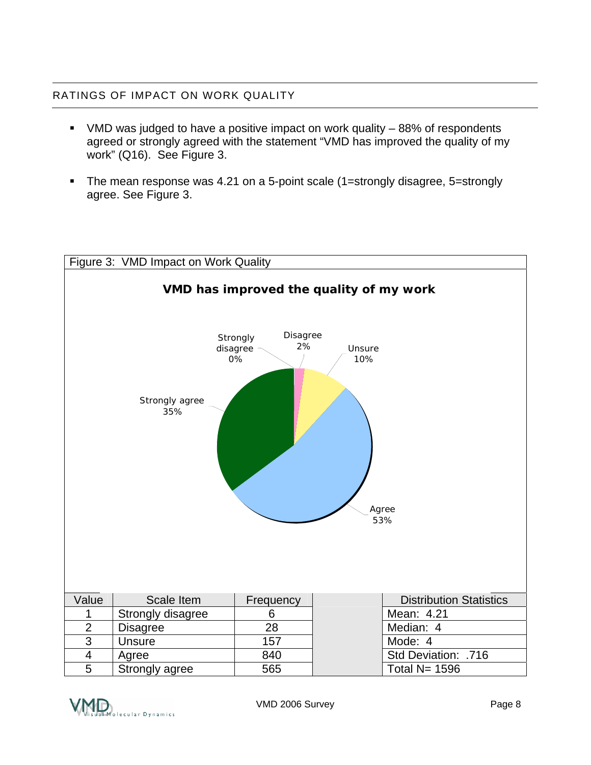#### RATINGS OF IMPACT ON WORK QUALITY

- VMD was judged to have a positive impact on work quality 88% of respondents agreed or strongly agreed with the statement "VMD has improved the quality of my work" (Q16). See Figure 3.
- The mean response was 4.21 on a 5-point scale (1=strongly disagree, 5=strongly agree. See Figure 3.



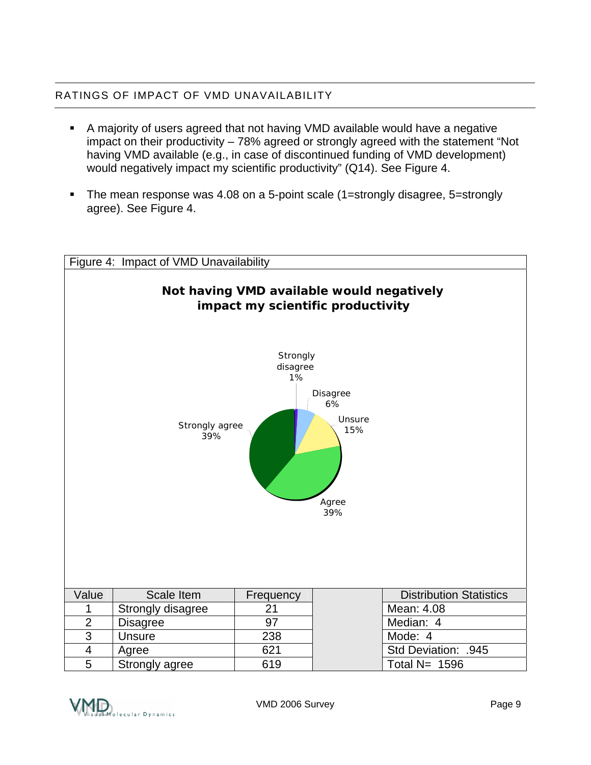#### RATINGS OF IMPACT OF VMD UNAVAILABILITY

- A majority of users agreed that not having VMD available would have a negative impact on their productivity – 78% agreed or strongly agreed with the statement "Not having VMD available (e.g., in case of discontinued funding of VMD development) would negatively impact my scientific productivity" (Q14). See Figure 4.
- The mean response was 4.08 on a 5-point scale (1=strongly disagree, 5=strongly agree). See Figure 4.



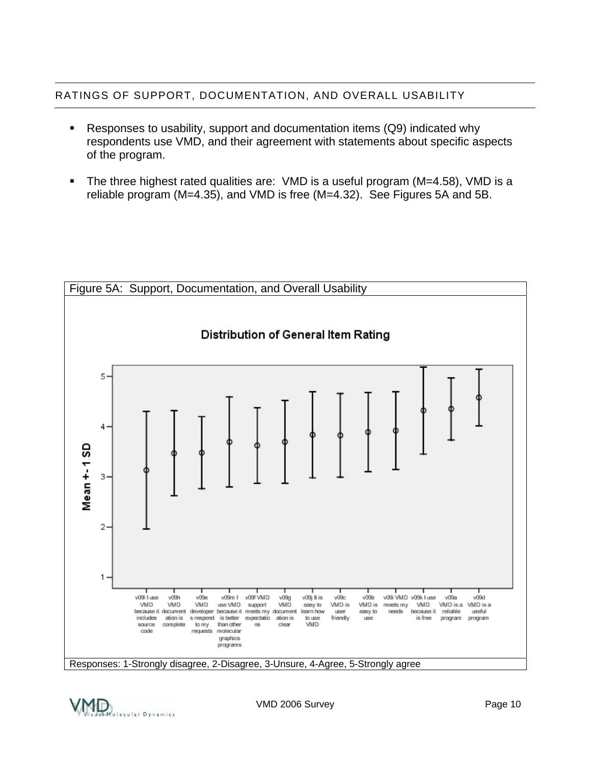#### RATINGS OF SUPPORT, DOCUMENTATION, AND OVERALL USABILITY

- Responses to usability, support and documentation items (Q9) indicated why respondents use VMD, and their agreement with statements about specific aspects of the program.
- The three highest rated qualities are: VMD is a useful program (M=4.58), VMD is a reliable program (M=4.35), and VMD is free (M=4.32). See Figures 5A and 5B.





VMD 2006 Survey **Page 10**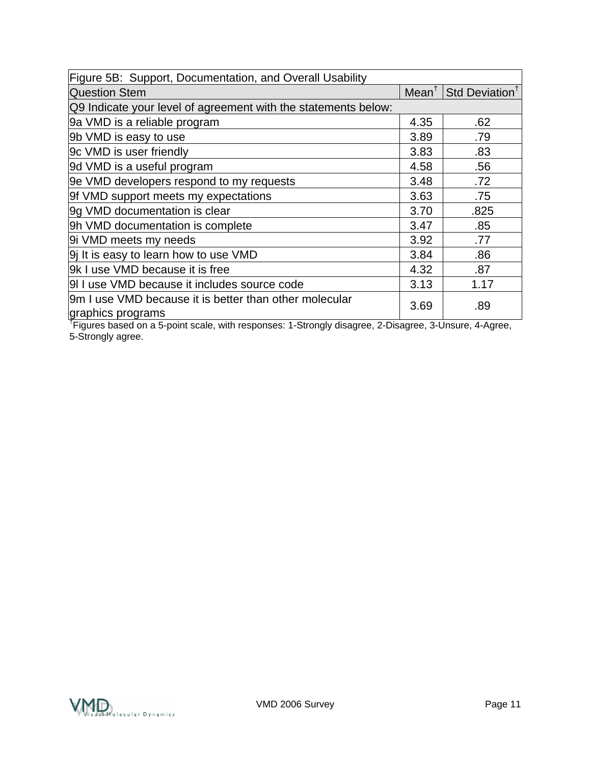| Figure 5B: Support, Documentation, and Overall Usability                    |      |                                              |
|-----------------------------------------------------------------------------|------|----------------------------------------------|
| <b>Question Stem</b>                                                        |      | Mean <sup>†</sup> Std Deviation <sup>†</sup> |
| Q9 Indicate your level of agreement with the statements below:              |      |                                              |
| 9a VMD is a reliable program                                                | 4.35 | .62                                          |
| 9b VMD is easy to use                                                       | 3.89 | .79                                          |
| 9c VMD is user friendly                                                     | 3.83 | .83                                          |
| 9d VMD is a useful program                                                  | 4.58 | .56                                          |
| 9e VMD developers respond to my requests                                    | 3.48 | .72                                          |
| 9f VMD support meets my expectations                                        | 3.63 | .75                                          |
| 9g VMD documentation is clear                                               | 3.70 | .825                                         |
| 9h VMD documentation is complete                                            | 3.47 | .85                                          |
| 9i VMD meets my needs                                                       | 3.92 | .77                                          |
| 9 It is easy to learn how to use VMD                                        | 3.84 | .86                                          |
| 9k I use VMD because it is free                                             | 4.32 | .87                                          |
| 9I I use VMD because it includes source code                                | 3.13 | 1.17                                         |
| 9m I use VMD because it is better than other molecular<br>graphics programs | 3.69 | .89                                          |

† Figures based on a 5-point scale, with responses: 1-Strongly disagree, 2-Disagree, 3-Unsure, 4-Agree, 5-Strongly agree.

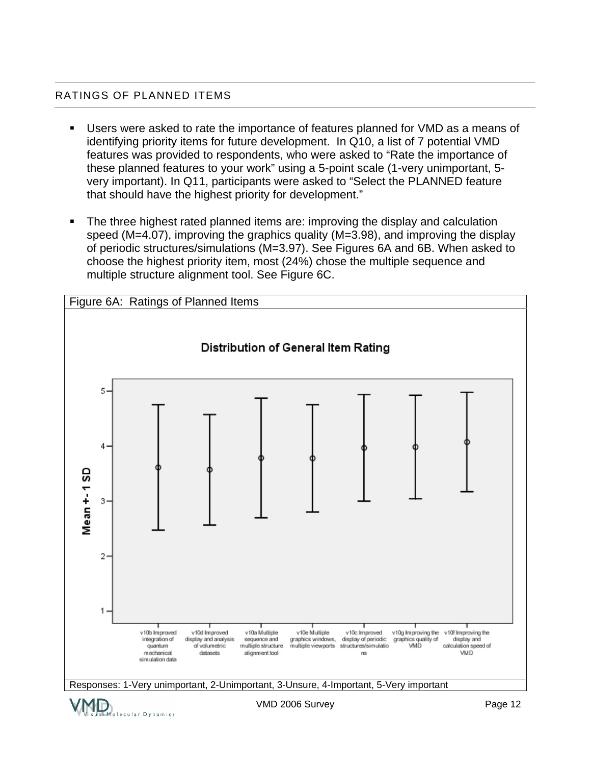#### RATINGS OF PLANNED ITEMS

- Users were asked to rate the importance of features planned for VMD as a means of identifying priority items for future development. In Q10, a list of 7 potential VMD features was provided to respondents, who were asked to "Rate the importance of these planned features to your work" using a 5-point scale (1-very unimportant, 5 very important). In Q11, participants were asked to "Select the PLANNED feature that should have the highest priority for development."
- The three highest rated planned items are: improving the display and calculation speed (M=4.07), improving the graphics quality (M=3.98), and improving the display of periodic structures/simulations (M=3.97). See Figures 6A and 6B. When asked to choose the highest priority item, most (24%) chose the multiple sequence and multiple structure alignment tool. See Figure 6C.

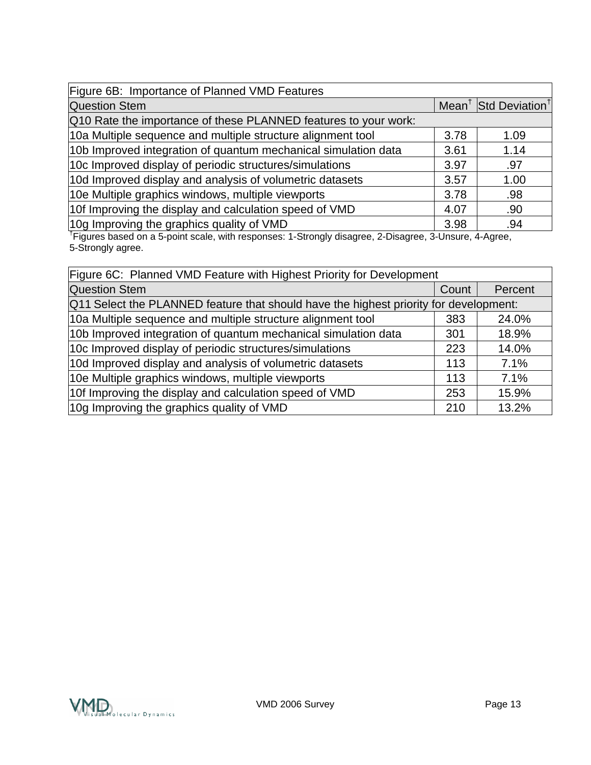| Figure 6B: Importance of Planned VMD Features                                                         |      |                                              |
|-------------------------------------------------------------------------------------------------------|------|----------------------------------------------|
| <b>Question Stem</b>                                                                                  |      | Mean <sup>†</sup> Std Deviation <sup>†</sup> |
| Q10 Rate the importance of these PLANNED features to your work:                                       |      |                                              |
| 10a Multiple sequence and multiple structure alignment tool                                           | 3.78 | 1.09                                         |
| 10b Improved integration of quantum mechanical simulation data                                        | 3.61 | 1.14                                         |
| 10c Improved display of periodic structures/simulations                                               | 3.97 | .97                                          |
| 10d Improved display and analysis of volumetric datasets                                              | 3.57 | 1.00                                         |
| 10e Multiple graphics windows, multiple viewports                                                     | 3.78 | .98                                          |
| 10f Improving the display and calculation speed of VMD<br>4.07<br>.90                                 |      |                                              |
| 10g Improving the graphics quality of VMD                                                             | 3.98 | .94                                          |
| Figures based on a 5-point scale, with responses: 1-Strongly disagree, 2-Disagree, 3-Unsure, 4-Agree, |      |                                              |

5-Strongly agree.

| Figure 6C: Planned VMD Feature with Highest Priority for Development                  |     |         |
|---------------------------------------------------------------------------------------|-----|---------|
| <b>Question Stem</b>                                                                  |     | Percent |
| Q11 Select the PLANNED feature that should have the highest priority for development: |     |         |
| 10a Multiple sequence and multiple structure alignment tool                           | 383 | 24.0%   |
| 10b Improved integration of quantum mechanical simulation data                        | 301 | 18.9%   |
| 10c Improved display of periodic structures/simulations                               |     | 14.0%   |
| 10d Improved display and analysis of volumetric datasets                              | 113 | 7.1%    |
| 10e Multiple graphics windows, multiple viewports                                     |     | 7.1%    |
| 10f Improving the display and calculation speed of VMD<br>253                         |     | 15.9%   |
| 10g Improving the graphics quality of VMD<br>210                                      |     | 13.2%   |
|                                                                                       |     |         |

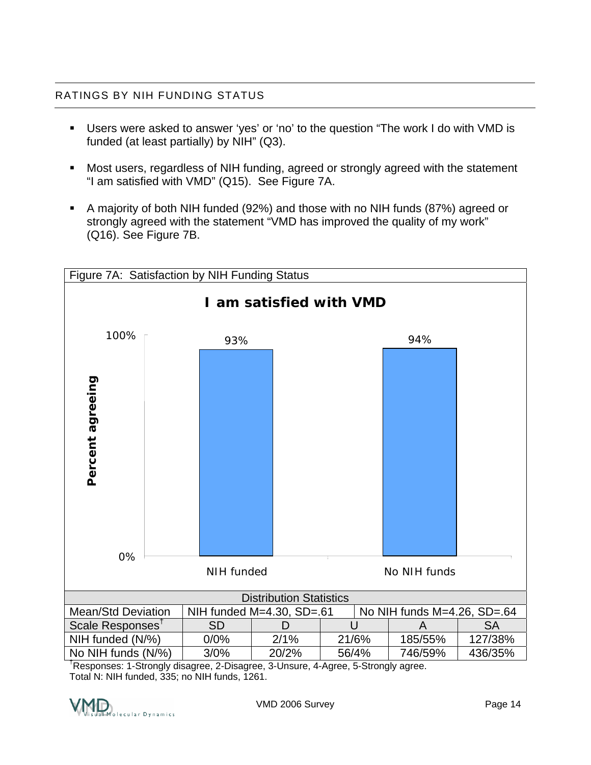#### RATINGS BY NIH FUNDING STATUS

- Users were asked to answer 'yes' or 'no' to the question "The work I do with VMD is funded (at least partially) by NIH" (Q3).
- Most users, regardless of NIH funding, agreed or strongly agreed with the statement "I am satisfied with VMD" (Q15). See Figure 7A.
- A majority of both NIH funded (92%) and those with no NIH funds (87%) agreed or strongly agreed with the statement "VMD has improved the quality of my work" (Q16). See Figure 7B.



† Responses: 1-Strongly disagree, 2-Disagree, 3-Unsure, 4-Agree, 5-Strongly agree. Total N: NIH funded, 335; no NIH funds, 1261.

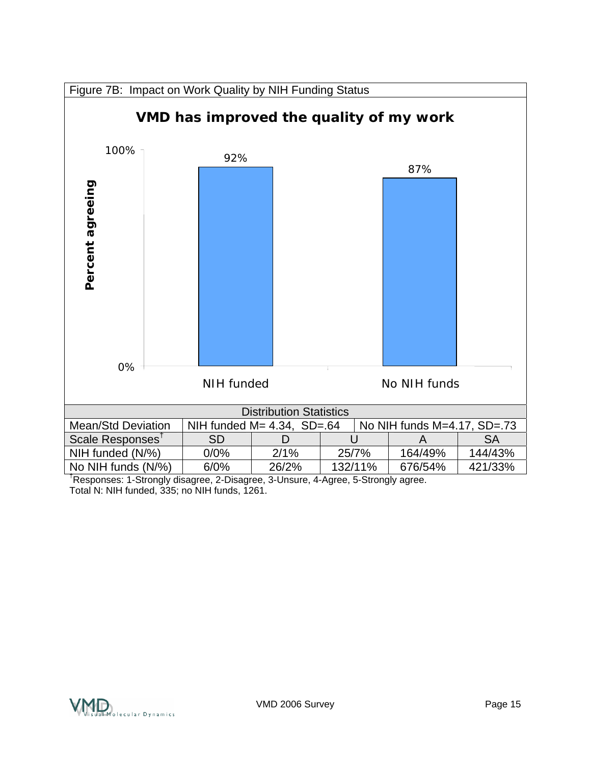

† Responses: 1-Strongly disagree, 2-Disagree, 3-Unsure, 4-Agree, 5-Strongly agree. Total N: NIH funded, 335; no NIH funds, 1261.

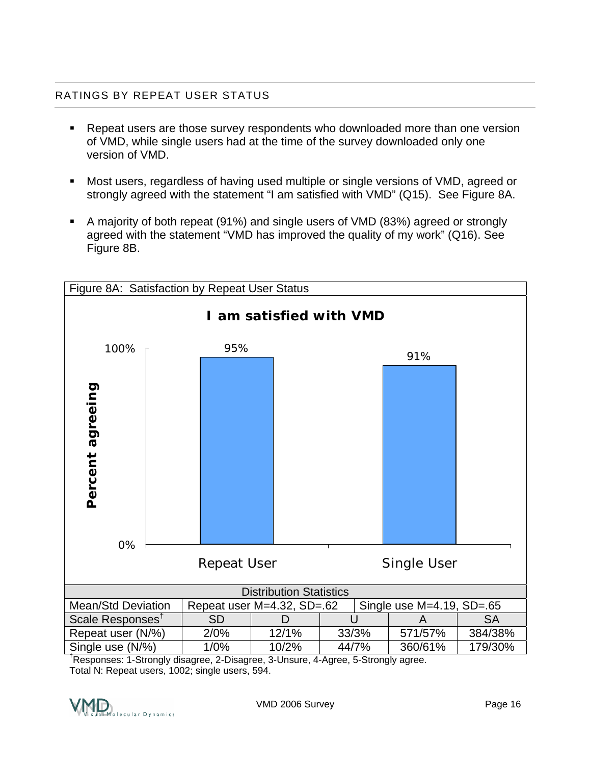#### RATINGS BY REPEAT USER STATUS

- Repeat users are those survey respondents who downloaded more than one version of VMD, while single users had at the time of the survey downloaded only one version of VMD.
- Most users, regardless of having used multiple or single versions of VMD, agreed or strongly agreed with the statement "I am satisfied with VMD" (Q15). See Figure 8A.
- A majority of both repeat (91%) and single users of VMD (83%) agreed or strongly agreed with the statement "VMD has improved the quality of my work" (Q16). See Figure 8B.



† Responses: 1-Strongly disagree, 2-Disagree, 3-Unsure, 4-Agree, 5-Strongly agree. Total N: Repeat users, 1002; single users, 594.

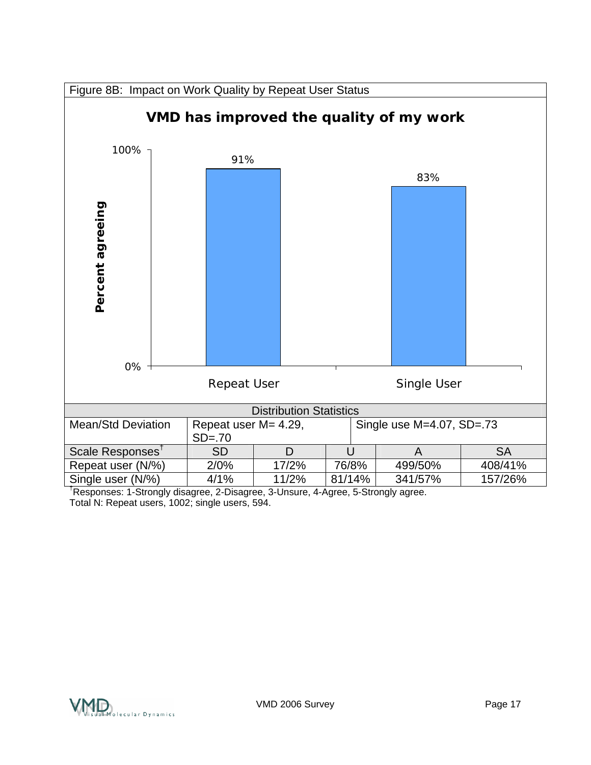

† Responses: 1-Strongly disagree, 2-Disagree, 3-Unsure, 4-Agree, 5-Strongly agree. Total N: Repeat users, 1002; single users, 594.

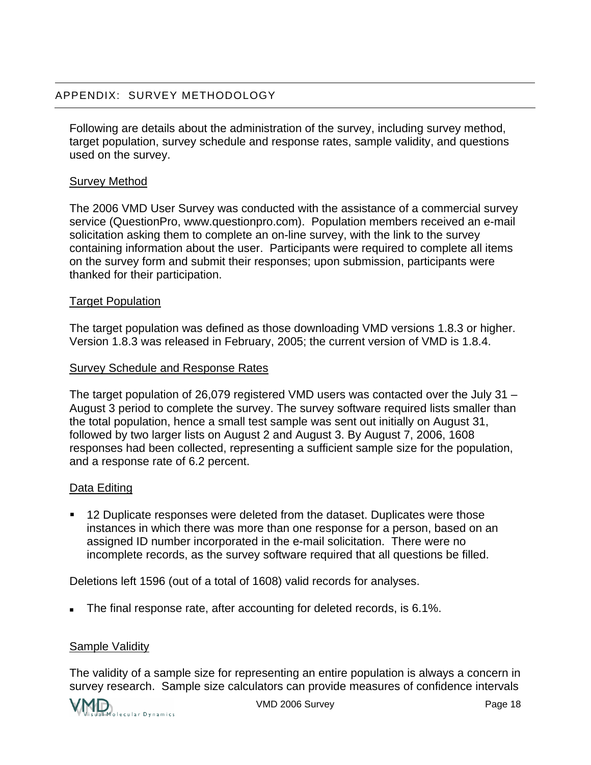Following are details about the administration of the survey, including survey method, target population, survey schedule and response rates, sample validity, and questions used on the survey.

#### Survey Method

The 2006 VMD User Survey was conducted with the assistance of a commercial survey service (QuestionPro, www.questionpro.com). Population members received an e-mail solicitation asking them to complete an on-line survey, with the link to the survey containing information about the user. Participants were required to complete all items on the survey form and submit their responses; upon submission, participants were thanked for their participation.

#### Target Population

The target population was defined as those downloading VMD versions 1.8.3 or higher. Version 1.8.3 was released in February, 2005; the current version of VMD is 1.8.4.

#### Survey Schedule and Response Rates

The target population of 26,079 registered VMD users was contacted over the July 31 – August 3 period to complete the survey. The survey software required lists smaller than the total population, hence a small test sample was sent out initially on August 31, followed by two larger lists on August 2 and August 3. By August 7, 2006, 1608 responses had been collected, representing a sufficient sample size for the population, and a response rate of 6.2 percent.

#### Data Editing

 12 Duplicate responses were deleted from the dataset. Duplicates were those instances in which there was more than one response for a person, based on an assigned ID number incorporated in the e-mail solicitation. There were no incomplete records, as the survey software required that all questions be filled.

Deletions left 1596 (out of a total of 1608) valid records for analyses.

The final response rate, after accounting for deleted records, is 6.1%.

#### Sample Validity

The validity of a sample size for representing an entire population is always a concern in survey research. Sample size calculators can provide measures of confidence intervals

$$
\bigvee \hspace{-0.15cm} \bigwedge \hspace{-0.15cm} \bigwedge \hspace{-0.15cm} \bigwedge \hspace{-0.15cm} \bigwedge \hspace{-0.15cm} \bigwedge \hspace{-0.15cm} \dots \hspace{-0.15cm} \bigwedge \hspace{-0.15cm} \dots \hspace{-0.15cm} \bigwedge \hspace{-0.15cm} \dots \hspace{-0.15cm} \bigwedge \hspace{-0.15cm} \dots \hspace{-0.15cm} \bigwedge \hspace{-0.15cm} \dots \hspace{-0.15cm} \bigwedge \hspace{-0.15cm} \dots \hspace{-0.15cm} \bigwedge \hspace{-0.15cm} \dots \hspace{-0.15cm} \bigwedge \hspace{-0.15cm} \dots \hspace{-0.15cm} \bigwedge \hspace{-0.15cm} \dots \hspace{-0.15cm} \bigwedge \hspace{-0.15cm} \dots \hspace{-0.15cm} \bigwedge \hspace{-0.15cm} \dots \hspace{-0.15cm} \bigwedge \hspace{-0.15cm} \dots \hspace{-0.15cm} \bigwedge \hspace{-0.15cm} \dots \hspace{-0.15cm} \bigwedge \hspace{-0.15cm} \dots \hspace{-0.15cm} \bigwedge \hspace{-0.15cm} \dots \hspace{-0.15cm} \bigwedge \hspace{-0.15cm} \dots \hspace{-0.15cm} \bigwedge \hspace{-0.15cm} \dots \hspace{-0.15cm} \bigwedge \hspace{-0.15cm} \dots \hspace{-0.15cm} \bigwedge \hspace{-0.15cm} \dots \hspace{-0.15cm} \bigwedge \hspace{-0.15cm} \dots \hspace{-0.15cm} \bigwedge \hspace{-0.15cm} \dots \hspace{-0.15cm} \dots \hspace{-0.15cm} \bigwedge \hspace{-0.15cm} \dots \hspace{-0.15cm} \bigwedge \hspace{-0.15cm} \dots \hspace{-0.15cm} \dots \hspace{-0.15cm} \bigwedge \hspace{-0.15cm} \dots \hspace{-0.15cm} \dots \hspace{-0.15cm} \bigwedge \hspace{-0.15cm} \dots \hspace{-0.15cm} \dots \hs
$$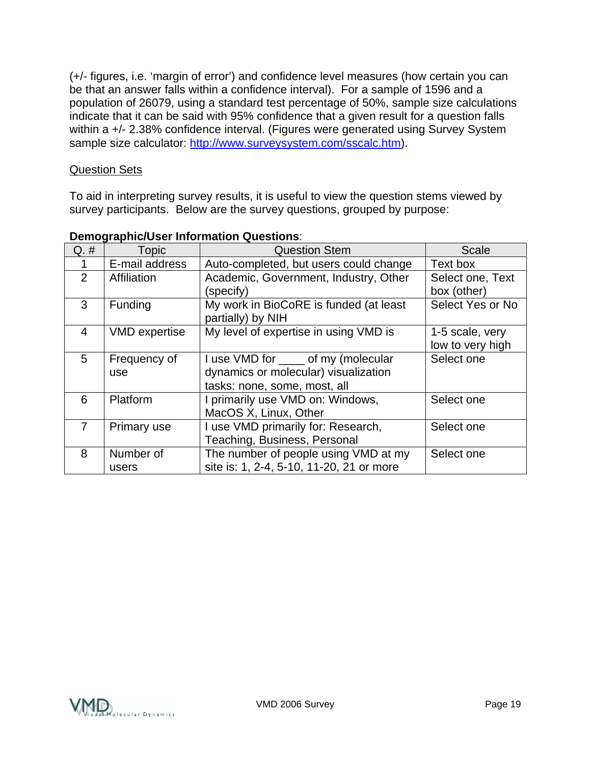(+/- figures, i.e. 'margin of error') and confidence level measures (how certain you can be that an answer falls within a confidence interval). For a sample of 1596 and a population of 26079, using a standard test percentage of 50%, sample size calculations indicate that it can be said with 95% confidence that a given result for a question falls within a +/- 2.38% confidence interval. (Figures were generated using Survey System sample size calculator: <http://www.surveysystem.com/sscalc.htm>).

#### Question Sets

To aid in interpreting survey results, it is useful to view the question stems viewed by survey participants. Below are the survey questions, grouped by purpose:

| $Q. \#$        | <b>Topic</b>         | <b>Question Stem</b>                                                                                         | <b>Scale</b>                        |
|----------------|----------------------|--------------------------------------------------------------------------------------------------------------|-------------------------------------|
|                | E-mail address       | Auto-completed, but users could change                                                                       | Text box                            |
| 2              | Affiliation          | Academic, Government, Industry, Other<br>(specify)                                                           | Select one, Text<br>box (other)     |
| 3              | Funding              | My work in BioCoRE is funded (at least<br>partially) by NIH                                                  | Select Yes or No                    |
| $\overline{4}$ | <b>VMD</b> expertise | My level of expertise in using VMD is                                                                        | 1-5 scale, very<br>low to very high |
| 5              | Frequency of<br>use  | I use VMD for _____ of my (molecular<br>dynamics or molecular) visualization<br>tasks: none, some, most, all | Select one                          |
| 6              | Platform             | I primarily use VMD on: Windows,<br>MacOS X, Linux, Other                                                    | Select one                          |
|                | Primary use          | I use VMD primarily for: Research,<br>Teaching, Business, Personal                                           | Select one                          |
| 8              | Number of<br>users   | The number of people using VMD at my<br>site is: 1, 2-4, 5-10, 11-20, 21 or more                             | Select one                          |

#### **Demographic/User Information Questions**: